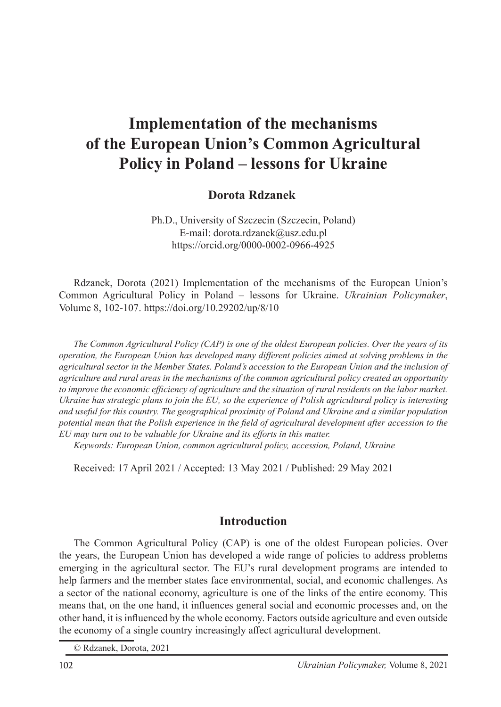# **Implementation of the mechanisms of the European Union's Common Agricultural Policy in Poland – lessons for Ukraine**

#### **Dorota Rdzanek**<sup>1</sup>

Ph.D., University of Szczecin (Szczecin, Poland) E-mail: dorota.rdzanek@usz.edu.pl https://orcid.org/0000-0002-0966-4925

Rdzanek, Dorota (2021) Implementation of the mechanisms of the European Union's Common Agricultural Policy in Poland – lessons for Ukraine. *Ukrainian Policymaker*, Volume 8, 102-107. https://doi.org/10.29202/up/8/10

*The Common Agricultural Policy (CAP) is one of the oldest European policies. Over the years of its operation, the European Union has developed many different policies aimed at solving problems in the agricultural sector in the Member States. Poland's accession to the European Union and the inclusion of agriculture and rural areas in the mechanisms of the common agricultural policy created an opportunity to improve the economic efficiency of agriculture and the situation of rural residents on the labor market. Ukraine has strategic plans to join the EU, so the experience of Polish agricultural policy is interesting and useful for this country. The geographical proximity of Poland and Ukraine and a similar population potential mean that the Polish experience in the field of agricultural development after accession to the EU may turn out to be valuable for Ukraine and its efforts in this matter.*

*Keywords: European Union, common agricultural policy, accession, Poland, Ukraine*

Received: 17 April 2021 / Accepted: 13 May 2021 / Published: 29 May 2021

#### **Introduction**

The Common Agricultural Policy (CAP) is one of the oldest European policies. Over the years, the European Union has developed a wide range of policies to address problems emerging in the agricultural sector. The EU's rural development programs are intended to help farmers and the member states face environmental, social, and economic challenges. As a sector of the national economy, agriculture is one of the links of the entire economy. This means that, on the one hand, it influences general social and economic processes and, on the other hand, it is influenced by the whole economy. Factors outside agriculture and even outside the economy of a single country increasingly affect agricultural development.

<sup>©</sup> Rdzanek, Dorota, 2021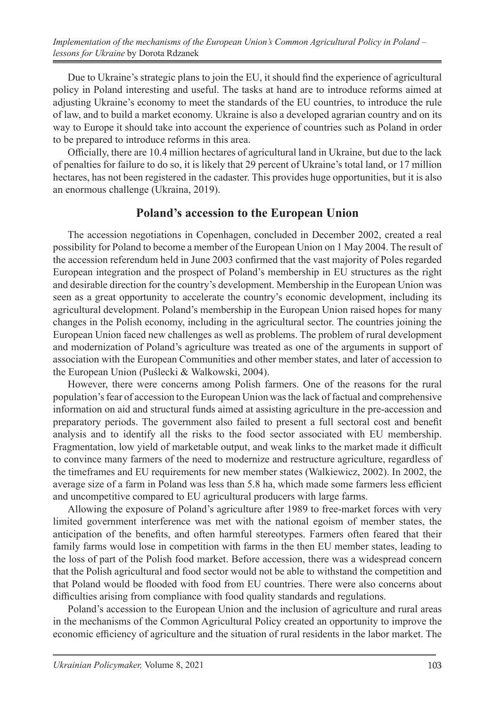Due to Ukraine's strategic plans to join the EU, it should find the experience of agricultural policy in Poland interesting and useful. The tasks at hand are to introduce reforms aimed at adjusting Ukraine's economy to meet the standards of the EU countries, to introduce the rule of law, and to build a market economy. Ukraine is also a developed agrarian country and on its way to Europe it should take into account the experience of countries such as Poland in order to be prepared to introduce reforms in this area.

Officially, there are 10.4 million hectares of agricultural land in Ukraine, but due to the lack of penalties for failure to do so, it is likely that 29 percent of Ukraine's total land, or 17 million hectares, has not been registered in the cadaster. This provides huge opportunities, but it is also an enormous challenge (Ukraina, 2019).

## **Poland's accession to the European Union**

The accession negotiations in Copenhagen, concluded in December 2002, created a real possibility for Poland to become a member of the European Union on 1 May 2004. The result of the accession referendum held in June 2003 confirmed that the vast majority of Poles regarded European integration and the prospect of Poland's membership in EU structures as the right and desirable direction for the country's development. Membership in the European Union was seen as a great opportunity to accelerate the country's economic development, including its agricultural development. Poland's membership in the European Union raised hopes for many changes in the Polish economy, including in the agricultural sector. The countries joining the European Union faced new challenges as well as problems. The problem of rural development and modernization of Poland's agriculture was treated as one of the arguments in support of association with the European Communities and other member states, and later of accession to the European Union (Puślecki & Walkowski, 2004).

However, there were concerns among Polish farmers. One of the reasons for the rural population's fear of accession to the European Union was the lack of factual and comprehensive information on aid and structural funds aimed at assisting agriculture in the pre-accession and preparatory periods. The government also failed to present a full sectoral cost and benefit analysis and to identify all the risks to the food sector associated with EU membership. Fragmentation, low yield of marketable output, and weak links to the market made it difficult to convince many farmers of the need to modernize and restructure agriculture, regardless of the timeframes and EU requirements for new member states (Walkiewicz, 2002). In 2002, the average size of a farm in Poland was less than 5.8 ha, which made some farmers less efficient and uncompetitive compared to EU agricultural producers with large farms.

Allowing the exposure of Poland's agriculture after 1989 to free-market forces with very limited government interference was met with the national egoism of member states, the anticipation of the benefits, and often harmful stereotypes. Farmers often feared that their family farms would lose in competition with farms in the then EU member states, leading to the loss of part of the Polish food market. Before accession, there was a widespread concern that the Polish agricultural and food sector would not be able to withstand the competition and that Poland would be flooded with food from EU countries. There were also concerns about difficulties arising from compliance with food quality standards and regulations.

Poland's accession to the European Union and the inclusion of agriculture and rural areas in the mechanisms of the Common Agricultural Policy created an opportunity to improve the economic efficiency of agriculture and the situation of rural residents in the labor market. The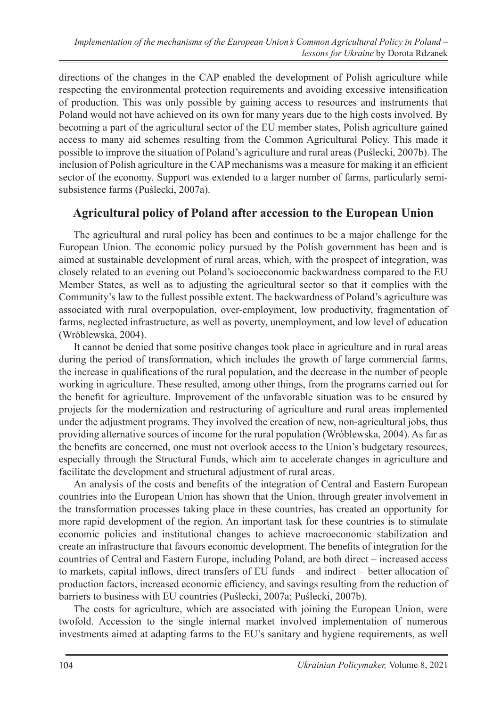directions of the changes in the CAP enabled the development of Polish agriculture while respecting the environmental protection requirements and avoiding excessive intensification of production. This was only possible by gaining access to resources and instruments that Poland would not have achieved on its own for many years due to the high costs involved. By becoming a part of the agricultural sector of the EU member states, Polish agriculture gained access to many aid schemes resulting from the Common Agricultural Policy. This made it possible to improve the situation of Poland's agriculture and rural areas (Puślecki, 2007b). The inclusion of Polish agriculture in the CAP mechanisms was a measure for making it an efficient sector of the economy. Support was extended to a larger number of farms, particularly semisubsistence farms (Puślecki, 2007a).

## **Agricultural policy of Poland after accession to the European Union**

The agricultural and rural policy has been and continues to be a major challenge for the European Union. The economic policy pursued by the Polish government has been and is aimed at sustainable development of rural areas, which, with the prospect of integration, was closely related to an evening out Poland's socioeconomic backwardness compared to the EU Member States, as well as to adjusting the agricultural sector so that it complies with the Community's law to the fullest possible extent. The backwardness of Poland's agriculture was associated with rural overpopulation, over-employment, low productivity, fragmentation of farms, neglected infrastructure, as well as poverty, unemployment, and low level of education (Wróblewska, 2004).

It cannot be denied that some positive changes took place in agriculture and in rural areas during the period of transformation, which includes the growth of large commercial farms, the increase in qualifications of the rural population, and the decrease in the number of people working in agriculture. These resulted, among other things, from the programs carried out for the benefit for agriculture. Improvement of the unfavorable situation was to be ensured by projects for the modernization and restructuring of agriculture and rural areas implemented under the adjustment programs. They involved the creation of new, non-agricultural jobs, thus providing alternative sources of income for the rural population (Wróblewska, 2004). As far as the benefits are concerned, one must not overlook access to the Union's budgetary resources, especially through the Structural Funds, which aim to accelerate changes in agriculture and facilitate the development and structural adjustment of rural areas.

An analysis of the costs and benefits of the integration of Central and Eastern European countries into the European Union has shown that the Union, through greater involvement in the transformation processes taking place in these countries, has created an opportunity for more rapid development of the region. An important task for these countries is to stimulate economic policies and institutional changes to achieve macroeconomic stabilization and create an infrastructure that favours economic development. The benefits of integration for the countries of Central and Eastern Europe, including Poland, are both direct – increased access to markets, capital inflows, direct transfers of EU funds – and indirect – better allocation of production factors, increased economic efficiency, and savings resulting from the reduction of barriers to business with EU countries (Puślecki, 2007a; Puślecki, 2007b).

The costs for agriculture, which are associated with joining the European Union, were twofold. Accession to the single internal market involved implementation of numerous investments aimed at adapting farms to the EU's sanitary and hygiene requirements, as well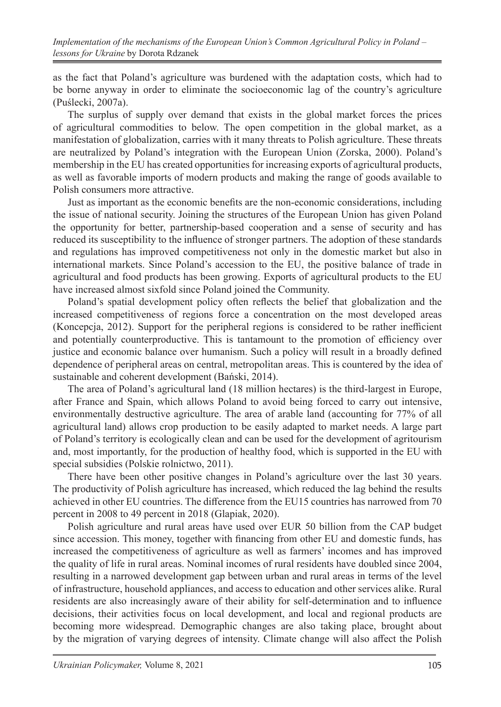as the fact that Poland's agriculture was burdened with the adaptation costs, which had to be borne anyway in order to eliminate the socioeconomic lag of the country's agriculture (Puślecki, 2007a).

The surplus of supply over demand that exists in the global market forces the prices of agricultural commodities to below. The open competition in the global market, as a manifestation of globalization, carries with it many threats to Polish agriculture. These threats are neutralized by Poland's integration with the European Union (Zorska, 2000). Poland's membership in the EU has created opportunities for increasing exports of agricultural products, as well as favorable imports of modern products and making the range of goods available to Polish consumers more attractive.

Just as important as the economic benefits are the non-economic considerations, including the issue of national security. Joining the structures of the European Union has given Poland the opportunity for better, partnership-based cooperation and a sense of security and has reduced its susceptibility to the influence of stronger partners. The adoption of these standards and regulations has improved competitiveness not only in the domestic market but also in international markets. Since Poland's accession to the EU, the positive balance of trade in agricultural and food products has been growing. Exports of agricultural products to the EU have increased almost sixfold since Poland joined the Community.

Poland's spatial development policy often reflects the belief that globalization and the increased competitiveness of regions force a concentration on the most developed areas (Koncepcja, 2012). Support for the peripheral regions is considered to be rather inefficient and potentially counterproductive. This is tantamount to the promotion of efficiency over justice and economic balance over humanism. Such a policy will result in a broadly defined dependence of peripheral areas on central, metropolitan areas. This is countered by the idea of sustainable and coherent development (Bański, 2014).

The area of Poland's agricultural land (18 million hectares) is the third-largest in Europe, after France and Spain, which allows Poland to avoid being forced to carry out intensive, environmentally destructive agriculture. The area of arable land (accounting for 77% of all agricultural land) allows crop production to be easily adapted to market needs. A large part of Poland's territory is ecologically clean and can be used for the development of agritourism and, most importantly, for the production of healthy food, which is supported in the EU with special subsidies (Polskie rolnictwo, 2011).

There have been other positive changes in Poland's agriculture over the last 30 years. The productivity of Polish agriculture has increased, which reduced the lag behind the results achieved in other EU countries. The difference from the EU15 countries has narrowed from 70 percent in 2008 to 49 percent in 2018 (Glapiak, 2020).

Polish agriculture and rural areas have used over EUR 50 billion from the CAP budget since accession. This money, together with financing from other EU and domestic funds, has increased the competitiveness of agriculture as well as farmers' incomes and has improved the quality of life in rural areas. Nominal incomes of rural residents have doubled since 2004, resulting in a narrowed development gap between urban and rural areas in terms of the level of infrastructure, household appliances, and access to education and other services alike. Rural residents are also increasingly aware of their ability for self-determination and to influence decisions, their activities focus on local development, and local and regional products are becoming more widespread. Demographic changes are also taking place, brought about by the migration of varying degrees of intensity. Climate change will also affect the Polish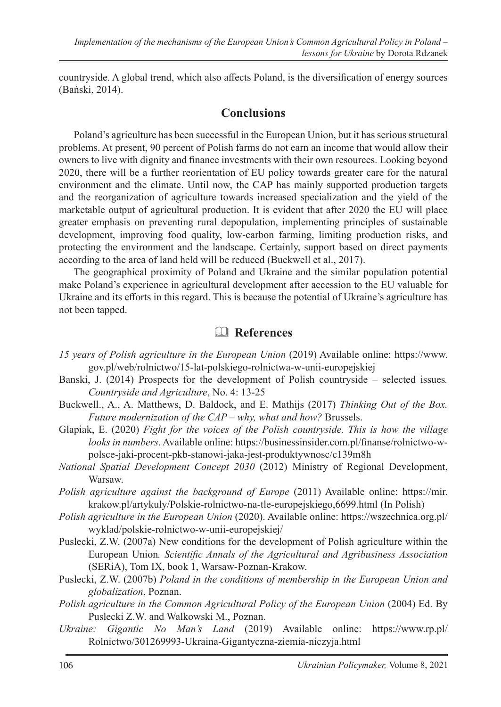countryside. A global trend, which also affects Poland, is the diversification of energy sources (Bański, 2014).

#### **Conclusions**

Poland's agriculture has been successful in the European Union, but it has serious structural problems. At present, 90 percent of Polish farms do not earn an income that would allow their owners to live with dignity and finance investments with their own resources. Looking beyond 2020, there will be a further reorientation of EU policy towards greater care for the natural environment and the climate. Until now, the CAP has mainly supported production targets and the reorganization of agriculture towards increased specialization and the yield of the marketable output of agricultural production. It is evident that after 2020 the EU will place greater emphasis on preventing rural depopulation, implementing principles of sustainable development, improving food quality, low-carbon farming, limiting production risks, and protecting the environment and the landscape. Certainly, support based on direct payments according to the area of land held will be reduced (Buckwell et al., 2017).

The geographical proximity of Poland and Ukraine and the similar population potential make Poland's experience in agricultural development after accession to the EU valuable for Ukraine and its efforts in this regard. This is because the potential of Ukraine's agriculture has not been tapped.

## & **References**

- *15 years of Polish agriculture in the European Union* (2019) Available online: https://www. gov.pl/web/rolnictwo/15-lat-polskiego-rolnictwa-w-unii-europejskiej
- Banski, J. (2014) Prospects for the development of Polish countryside selected issues*. Countryside and Agriculture*, No. 4: 13-25
- Buckwell., A., A. Matthews, D. Baldock, and E. Mathijs (2017) *Thinking Out of the Box. Future modernization of the CAP – why, what and how?* Brussels.
- Glapiak, E. (2020) *Fight for the voices of the Polish countryside. This is how the village looks in numbers*. Available online: https://businessinsider.com.pl/finanse/rolnictwo-wpolsce-jaki-procent-pkb-stanowi-jaka-jest-produktywnosc/c139m8h
- *National Spatial Development Concept 2030* (2012) Ministry of Regional Development, Warsaw.
- *Polish agriculture against the background of Europe* (2011) Available online: https://mir. krakow.pl/artykuly/Polskie-rolnictwo-na-tle-europejskiego,6699.html (In Polish)
- *Polish agriculture in the European Union* (2020). Available online: https://wszechnica.org.pl/ wyklad/polskie-rolnictwo-w-unii-europejskiej/
- Puslecki, Z.W. (2007a) New conditions for the development of Polish agriculture within the European Union*. Scientific Annals of the Agricultural and Agribusiness Association*  (SERiA), Tom IX, book 1, Warsaw-Poznan-Krakow.
- Puslecki, Z.W. (2007b) *Poland in the conditions of membership in the European Union and globalization*, Poznan.
- *Polish agriculture in the Common Agricultural Policy of the European Union (2004) Ed. By* Puslecki Z.W. and Walkowski M., Poznan.
- *Ukraine: Gigantic No Man's Land* (2019) Available online: https://www.rp.pl/ Rolnictwo/301269993-Ukraina-Gigantyczna-ziemia-niczyja.html